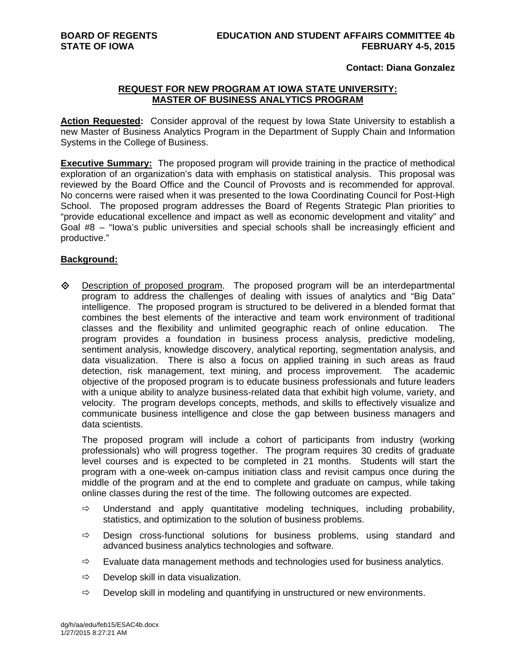## **Contact: Diana Gonzalez**

## **REQUEST FOR NEW PROGRAM AT IOWA STATE UNIVERSITY: MASTER OF BUSINESS ANALYTICS PROGRAM**

**Action Requested:** Consider approval of the request by Iowa State University to establish a new Master of Business Analytics Program in the Department of Supply Chain and Information Systems in the College of Business.

**Executive Summary:** The proposed program will provide training in the practice of methodical exploration of an organization's data with emphasis on statistical analysis. This proposal was reviewed by the Board Office and the Council of Provosts and is recommended for approval. No concerns were raised when it was presented to the Iowa Coordinating Council for Post-High School. The proposed program addresses the Board of Regents Strategic Plan priorities to "provide educational excellence and impact as well as economic development and vitality" and Goal #8 – "Iowa's public universities and special schools shall be increasingly efficient and productive."

## **Background:**

 $\diamond$  Description of proposed program. The proposed program will be an interdepartmental program to address the challenges of dealing with issues of analytics and "Big Data" intelligence. The proposed program is structured to be delivered in a blended format that combines the best elements of the interactive and team work environment of traditional classes and the flexibility and unlimited geographic reach of online education. The program provides a foundation in business process analysis, predictive modeling, sentiment analysis, knowledge discovery, analytical reporting, segmentation analysis, and data visualization. There is also a focus on applied training in such areas as fraud detection, risk management, text mining, and process improvement. The academic objective of the proposed program is to educate business professionals and future leaders with a unique ability to analyze business-related data that exhibit high volume, variety, and velocity. The program develops concepts, methods, and skills to effectively visualize and communicate business intelligence and close the gap between business managers and data scientists.

The proposed program will include a cohort of participants from industry (working professionals) who will progress together. The program requires 30 credits of graduate level courses and is expected to be completed in 21 months. Students will start the program with a one-week on-campus initiation class and revisit campus once during the middle of the program and at the end to complete and graduate on campus, while taking online classes during the rest of the time. The following outcomes are expected.

- $\Rightarrow$  Understand and apply quantitative modeling techniques, including probability, statistics, and optimization to the solution of business problems.
- $\Rightarrow$  Design cross-functional solutions for business problems, using standard and advanced business analytics technologies and software.
- $\Rightarrow$  Evaluate data management methods and technologies used for business analytics.
- $\Rightarrow$  Develop skill in data visualization.
- $\Rightarrow$  Develop skill in modeling and quantifying in unstructured or new environments.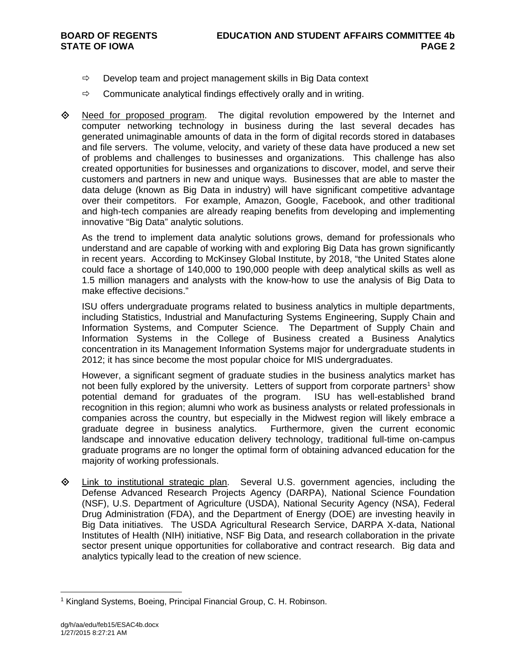- $\Rightarrow$  Develop team and project management skills in Big Data context
- $\Rightarrow$  Communicate analytical findings effectively orally and in writing.
- $\diamond$  Need for proposed program. The digital revolution empowered by the Internet and computer networking technology in business during the last several decades has generated unimaginable amounts of data in the form of digital records stored in databases and file servers. The volume, velocity, and variety of these data have produced a new set of problems and challenges to businesses and organizations. This challenge has also created opportunities for businesses and organizations to discover, model, and serve their customers and partners in new and unique ways. Businesses that are able to master the data deluge (known as Big Data in industry) will have significant competitive advantage over their competitors. For example, Amazon, Google, Facebook, and other traditional and high-tech companies are already reaping benefits from developing and implementing innovative "Big Data" analytic solutions.

As the trend to implement data analytic solutions grows, demand for professionals who understand and are capable of working with and exploring Big Data has grown significantly in recent years. According to McKinsey Global Institute, by 2018, "the United States alone could face a shortage of 140,000 to 190,000 people with deep analytical skills as well as 1.5 million managers and analysts with the know-how to use the analysis of Big Data to make effective decisions."

ISU offers undergraduate programs related to business analytics in multiple departments, including Statistics, Industrial and Manufacturing Systems Engineering, Supply Chain and Information Systems, and Computer Science. The Department of Supply Chain and Information Systems in the College of Business created a Business Analytics concentration in its Management Information Systems major for undergraduate students in 2012; it has since become the most popular choice for MIS undergraduates.

However, a significant segment of graduate studies in the business analytics market has not been fully explored by the university. Letters of support from corporate partners<sup>1</sup> show potential demand for graduates of the program. ISU has well-established brand recognition in this region; alumni who work as business analysts or related professionals in companies across the country, but especially in the Midwest region will likely embrace a graduate degree in business analytics. Furthermore, given the current economic landscape and innovative education delivery technology, traditional full-time on-campus graduate programs are no longer the optimal form of obtaining advanced education for the majority of working professionals.

**Example 1** Link to institutional strategic plan. Several U.S. government agencies, including the Defense Advanced Research Projects Agency (DARPA), National Science Foundation (NSF), U.S. Department of Agriculture (USDA), National Security Agency (NSA), Federal Drug Administration (FDA), and the Department of Energy (DOE) are investing heavily in Big Data initiatives. The USDA Agricultural Research Service, DARPA X-data, National Institutes of Health (NIH) initiative, NSF Big Data, and research collaboration in the private sector present unique opportunities for collaborative and contract research. Big data and analytics typically lead to the creation of new science.

<sup>&</sup>lt;sup>1</sup> Kingland Systems, Boeing, Principal Financial Group, C. H. Robinson.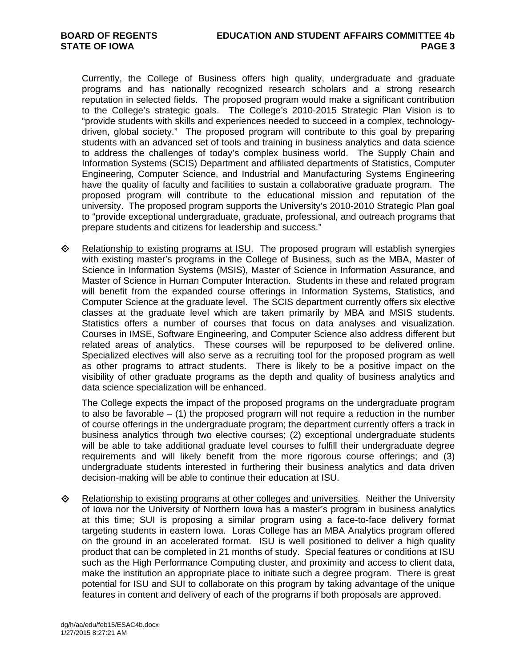Currently, the College of Business offers high quality, undergraduate and graduate programs and has nationally recognized research scholars and a strong research reputation in selected fields. The proposed program would make a significant contribution to the College's strategic goals. The College's 2010-2015 Strategic Plan Vision is to "provide students with skills and experiences needed to succeed in a complex, technologydriven, global society." The proposed program will contribute to this goal by preparing students with an advanced set of tools and training in business analytics and data science to address the challenges of today's complex business world. The Supply Chain and Information Systems (SCIS) Department and affiliated departments of Statistics, Computer Engineering, Computer Science, and Industrial and Manufacturing Systems Engineering have the quality of faculty and facilities to sustain a collaborative graduate program. The proposed program will contribute to the educational mission and reputation of the university. The proposed program supports the University's 2010-2010 Strategic Plan goal to "provide exceptional undergraduate, graduate, professional, and outreach programs that prepare students and citizens for leadership and success."

**E** Relationship to existing programs at ISU. The proposed program will establish synergies with existing master's programs in the College of Business, such as the MBA, Master of Science in Information Systems (MSIS), Master of Science in Information Assurance, and Master of Science in Human Computer Interaction. Students in these and related program will benefit from the expanded course offerings in Information Systems, Statistics, and Computer Science at the graduate level. The SCIS department currently offers six elective classes at the graduate level which are taken primarily by MBA and MSIS students. Statistics offers a number of courses that focus on data analyses and visualization. Courses in IMSE, Software Engineering, and Computer Science also address different but related areas of analytics. These courses will be repurposed to be delivered online. Specialized electives will also serve as a recruiting tool for the proposed program as well as other programs to attract students. There is likely to be a positive impact on the visibility of other graduate programs as the depth and quality of business analytics and data science specialization will be enhanced.

The College expects the impact of the proposed programs on the undergraduate program to also be favorable – (1) the proposed program will not require a reduction in the number of course offerings in the undergraduate program; the department currently offers a track in business analytics through two elective courses; (2) exceptional undergraduate students will be able to take additional graduate level courses to fulfill their undergraduate degree requirements and will likely benefit from the more rigorous course offerings; and (3) undergraduate students interested in furthering their business analytics and data driven decision-making will be able to continue their education at ISU.

 $\Diamond$  Relationship to existing programs at other colleges and universities. Neither the University of Iowa nor the University of Northern Iowa has a master's program in business analytics at this time; SUI is proposing a similar program using a face-to-face delivery format targeting students in eastern Iowa. Loras College has an MBA Analytics program offered on the ground in an accelerated format. ISU is well positioned to deliver a high quality product that can be completed in 21 months of study. Special features or conditions at ISU such as the High Performance Computing cluster, and proximity and access to client data, make the institution an appropriate place to initiate such a degree program. There is great potential for ISU and SUI to collaborate on this program by taking advantage of the unique features in content and delivery of each of the programs if both proposals are approved.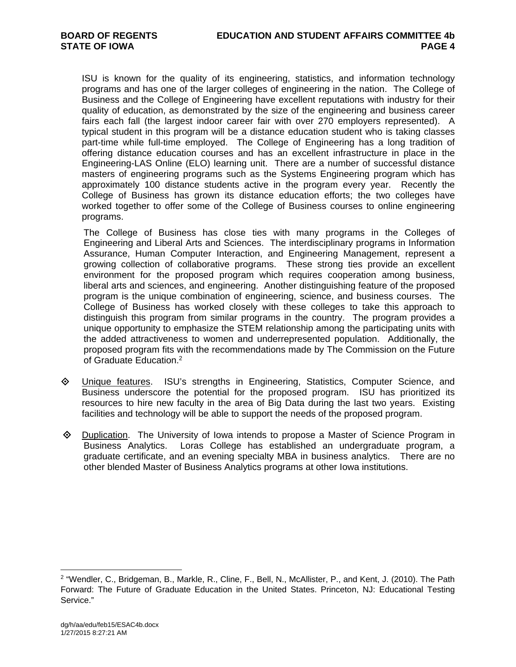ISU is known for the quality of its engineering, statistics, and information technology programs and has one of the larger colleges of engineering in the nation. The College of Business and the College of Engineering have excellent reputations with industry for their quality of education, as demonstrated by the size of the engineering and business career fairs each fall (the largest indoor career fair with over 270 employers represented). A typical student in this program will be a distance education student who is taking classes part-time while full-time employed. The College of Engineering has a long tradition of offering distance education courses and has an excellent infrastructure in place in the Engineering-LAS Online (ELO) learning unit. There are a number of successful distance masters of engineering programs such as the Systems Engineering program which has approximately 100 distance students active in the program every year. Recently the College of Business has grown its distance education efforts; the two colleges have worked together to offer some of the College of Business courses to online engineering programs.

The College of Business has close ties with many programs in the Colleges of Engineering and Liberal Arts and Sciences. The interdisciplinary programs in Information Assurance, Human Computer Interaction, and Engineering Management, represent a growing collection of collaborative programs. These strong ties provide an excellent environment for the proposed program which requires cooperation among business, liberal arts and sciences, and engineering. Another distinguishing feature of the proposed program is the unique combination of engineering, science, and business courses. The College of Business has worked closely with these colleges to take this approach to distinguish this program from similar programs in the country. The program provides a unique opportunity to emphasize the STEM relationship among the participating units with the added attractiveness to women and underrepresented population. Additionally, the proposed program fits with the recommendations made by The Commission on the Future of Graduate Education.2

- Unique features. ISU's strengths in Engineering, Statistics, Computer Science, and Business underscore the potential for the proposed program. ISU has prioritized its resources to hire new faculty in the area of Big Data during the last two years. Existing facilities and technology will be able to support the needs of the proposed program.
- Duplication. The University of Iowa intends to propose a Master of Science Program in Business Analytics. Loras College has established an undergraduate program, a graduate certificate, and an evening specialty MBA in business analytics. There are no other blended Master of Business Analytics programs at other Iowa institutions.

<sup>2 &</sup>quot;Wendler, C., Bridgeman, B., Markle, R., Cline, F., Bell, N., McAllister, P., and Kent, J. (2010). The Path Forward: The Future of Graduate Education in the United States. Princeton, NJ: Educational Testing Service."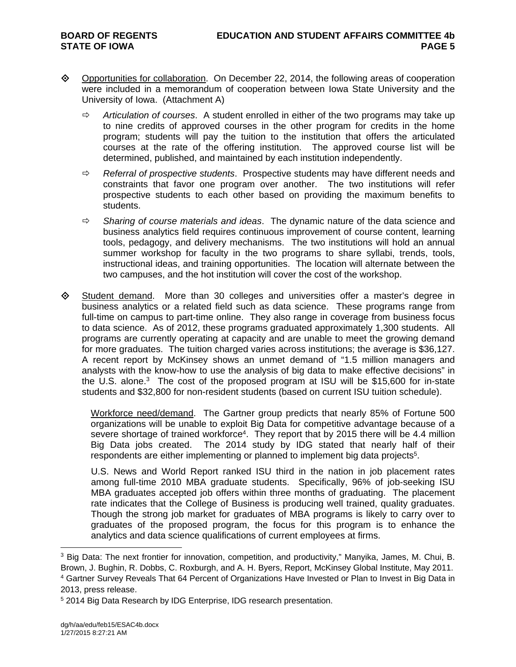- ◆ Opportunities for collaboration. On December 22, 2014, the following areas of cooperation were included in a memorandum of cooperation between Iowa State University and the University of Iowa. (Attachment A)
	- *Articulation of courses*. A student enrolled in either of the two programs may take up to nine credits of approved courses in the other program for credits in the home program; students will pay the tuition to the institution that offers the articulated courses at the rate of the offering institution. The approved course list will be determined, published, and maintained by each institution independently.
	- *Referral of prospective students*. Prospective students may have different needs and constraints that favor one program over another. The two institutions will refer prospective students to each other based on providing the maximum benefits to students.
	- *Sharing of course materials and ideas*. The dynamic nature of the data science and business analytics field requires continuous improvement of course content, learning tools, pedagogy, and delivery mechanisms. The two institutions will hold an annual summer workshop for faculty in the two programs to share syllabi, trends, tools, instructional ideas, and training opportunities. The location will alternate between the two campuses, and the hot institution will cover the cost of the workshop.
- Student demand. More than 30 colleges and universities offer a master's degree in business analytics or a related field such as data science. These programs range from full-time on campus to part-time online. They also range in coverage from business focus to data science. As of 2012, these programs graduated approximately 1,300 students. All programs are currently operating at capacity and are unable to meet the growing demand for more graduates. The tuition charged varies across institutions; the average is \$36,127. A recent report by McKinsey shows an unmet demand of "1.5 million managers and analysts with the know-how to use the analysis of big data to make effective decisions" in the U.S. alone.3 The cost of the proposed program at ISU will be \$15,600 for in-state students and \$32,800 for non-resident students (based on current ISU tuition schedule).

Workforce need/demand. The Gartner group predicts that nearly 85% of Fortune 500 organizations will be unable to exploit Big Data for competitive advantage because of a severe shortage of trained workforce<sup>4</sup>. They report that by 2015 there will be 4.4 million Big Data jobs created. The 2014 study by IDG stated that nearly half of their respondents are either implementing or planned to implement big data projects<sup>5</sup>.

U.S. News and World Report ranked ISU third in the nation in job placement rates among full-time 2010 MBA graduate students. Specifically, 96% of job-seeking ISU MBA graduates accepted job offers within three months of graduating. The placement rate indicates that the College of Business is producing well trained, quality graduates. Though the strong job market for graduates of MBA programs is likely to carry over to graduates of the proposed program, the focus for this program is to enhance the analytics and data science qualifications of current employees at firms.

<sup>&</sup>lt;sup>3</sup> Big Data: The next frontier for innovation, competition, and productivity," Manyika, James, M. Chui, B. Brown, J. Bughin, R. Dobbs, C. Roxburgh, and A. H. Byers, Report, McKinsey Global Institute, May 2011. 4 Gartner Survey Reveals That 64 Percent of Organizations Have Invested or Plan to Invest in Big Data in 2013, press release.

<sup>&</sup>lt;sup>5</sup> 2014 Big Data Research by IDG Enterprise, IDG research presentation.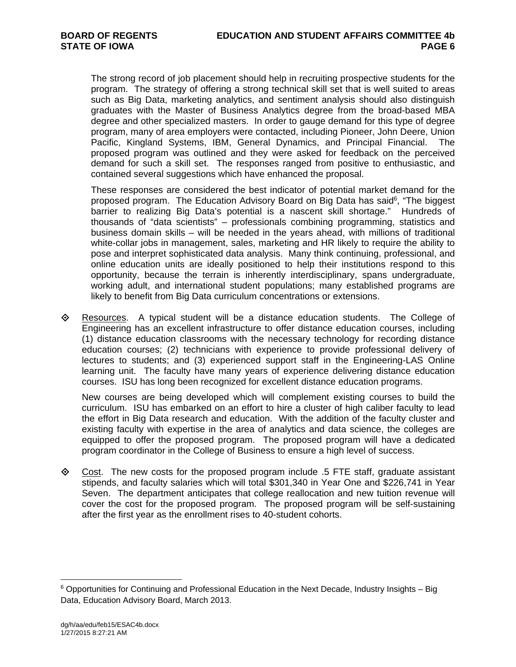The strong record of job placement should help in recruiting prospective students for the program. The strategy of offering a strong technical skill set that is well suited to areas such as Big Data, marketing analytics, and sentiment analysis should also distinguish graduates with the Master of Business Analytics degree from the broad-based MBA degree and other specialized masters. In order to gauge demand for this type of degree program, many of area employers were contacted, including Pioneer, John Deere, Union Pacific, Kingland Systems, IBM, General Dynamics, and Principal Financial. The proposed program was outlined and they were asked for feedback on the perceived demand for such a skill set. The responses ranged from positive to enthusiastic, and contained several suggestions which have enhanced the proposal.

These responses are considered the best indicator of potential market demand for the proposed program. The Education Advisory Board on Big Data has said<sup>6</sup>, "The biggest barrier to realizing Big Data's potential is a nascent skill shortage." Hundreds of thousands of "data scientists" – professionals combining programming, statistics and business domain skills – will be needed in the years ahead, with millions of traditional white-collar jobs in management, sales, marketing and HR likely to require the ability to pose and interpret sophisticated data analysis. Many think continuing, professional, and online education units are ideally positioned to help their institutions respond to this opportunity, because the terrain is inherently interdisciplinary, spans undergraduate, working adult, and international student populations; many established programs are likely to benefit from Big Data curriculum concentrations or extensions.

 $\Leftrightarrow$  Resources. A typical student will be a distance education students. The College of Engineering has an excellent infrastructure to offer distance education courses, including (1) distance education classrooms with the necessary technology for recording distance education courses; (2) technicians with experience to provide professional delivery of lectures to students; and (3) experienced support staff in the Engineering-LAS Online learning unit. The faculty have many years of experience delivering distance education courses. ISU has long been recognized for excellent distance education programs.

New courses are being developed which will complement existing courses to build the curriculum. ISU has embarked on an effort to hire a cluster of high caliber faculty to lead the effort in Big Data research and education. With the addition of the faculty cluster and existing faculty with expertise in the area of analytics and data science, the colleges are equipped to offer the proposed program. The proposed program will have a dedicated program coordinator in the College of Business to ensure a high level of success.

◆ Cost. The new costs for the proposed program include .5 FTE staff, graduate assistant stipends, and faculty salaries which will total \$301,340 in Year One and \$226,741 in Year Seven. The department anticipates that college reallocation and new tuition revenue will cover the cost for the proposed program. The proposed program will be self-sustaining after the first year as the enrollment rises to 40-student cohorts.

<sup>6</sup> Opportunities for Continuing and Professional Education in the Next Decade, Industry Insights – Big Data, Education Advisory Board, March 2013.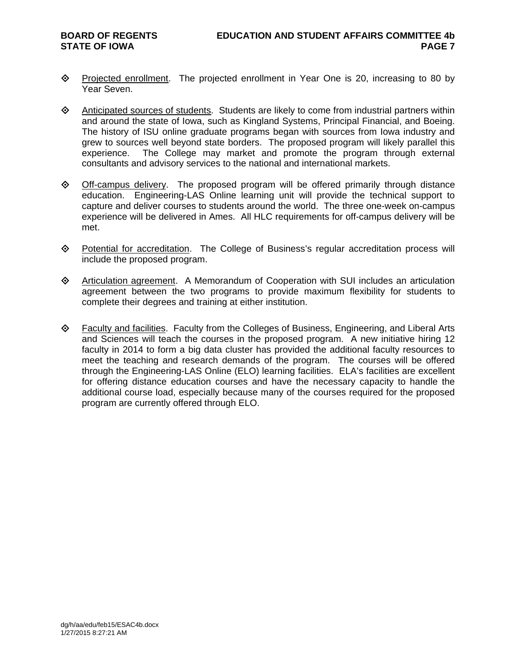- ◆ Projected enrollment. The projected enrollment in Year One is 20, increasing to 80 by Year Seven.
- $\diamond$  Anticipated sources of students. Students are likely to come from industrial partners within and around the state of Iowa, such as Kingland Systems, Principal Financial, and Boeing. The history of ISU online graduate programs began with sources from Iowa industry and grew to sources well beyond state borders. The proposed program will likely parallel this experience. The College may market and promote the program through external consultants and advisory services to the national and international markets.
- $\diamond$  Off-campus delivery. The proposed program will be offered primarily through distance education. Engineering-LAS Online learning unit will provide the technical support to capture and deliver courses to students around the world. The three one-week on-campus experience will be delivered in Ames. All HLC requirements for off-campus delivery will be met.
- Potential for accreditation. The College of Business's regular accreditation process will include the proposed program.
- Articulation agreement. A Memorandum of Cooperation with SUI includes an articulation agreement between the two programs to provide maximum flexibility for students to complete their degrees and training at either institution.
- $\Diamond$  Faculty and facilities. Faculty from the Colleges of Business, Engineering, and Liberal Arts and Sciences will teach the courses in the proposed program. A new initiative hiring 12 faculty in 2014 to form a big data cluster has provided the additional faculty resources to meet the teaching and research demands of the program. The courses will be offered through the Engineering-LAS Online (ELO) learning facilities. ELA's facilities are excellent for offering distance education courses and have the necessary capacity to handle the additional course load, especially because many of the courses required for the proposed program are currently offered through ELO.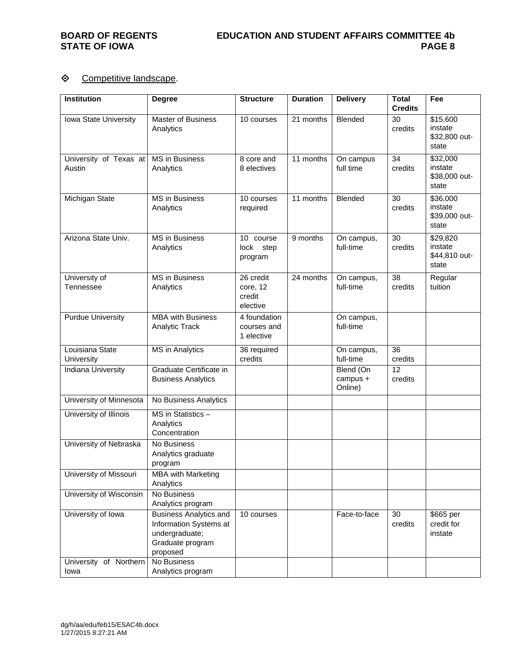# ♦ Competitive landscape.

| <b>Institution</b>               | <b>Degree</b>                                                                                             | <b>Structure</b>                            | <b>Duration</b> | <b>Delivery</b>                  | <b>Total</b><br><b>Credits</b> | Fee                                           |
|----------------------------------|-----------------------------------------------------------------------------------------------------------|---------------------------------------------|-----------------|----------------------------------|--------------------------------|-----------------------------------------------|
| Iowa State University            | Master of Business<br>Analytics                                                                           | 10 courses                                  | 21 months       | Blended                          | 30<br>credits                  | \$15,600<br>instate<br>\$32,800 out-<br>state |
| University of Texas at<br>Austin | MS in Business<br>Analytics                                                                               | 8 core and<br>8 electives                   | 11 months       | On campus<br>full time           | 34<br>credits                  | \$32,000<br>instate<br>\$38,000 out-<br>state |
| Michigan State                   | <b>MS</b> in Business<br>Analytics                                                                        | 10 courses<br>required                      | 11 months       | Blended                          | $\overline{30}$<br>credits     | \$36,000<br>instate<br>\$39,000 out-<br>state |
| Arizona State Univ.              | <b>MS</b> in Business<br>Analytics                                                                        | 10 course<br>lock step<br>program           | 9 months        | On campus,<br>full-time          | $\overline{30}$<br>credits     | \$29,820<br>instate<br>\$44,810 out-<br>state |
| University of<br>Tennessee       | <b>MS</b> in Business<br>Analytics                                                                        | 26 credit<br>core, 12<br>credit<br>elective | 24 months       | On campus,<br>full-time          | $\overline{38}$<br>credits     | Regular<br>tuition                            |
| <b>Purdue University</b>         | <b>MBA with Business</b><br>Analytic Track                                                                | 4 foundation<br>courses and<br>1 elective   |                 | On campus,<br>full-time          |                                |                                               |
| Louisiana State<br>University    | <b>MS</b> in Analytics                                                                                    | 36 required<br>credits                      |                 | On campus,<br>full-time          | 36<br>credits                  |                                               |
| Indiana University               | Graduate Certificate in<br><b>Business Analytics</b>                                                      |                                             |                 | Blend (On<br>campus +<br>Online) | 12<br>credits                  |                                               |
| University of Minnesota          | No Business Analytics                                                                                     |                                             |                 |                                  |                                |                                               |
| University of Illinois           | MS in Statistics -<br>Analytics<br>Concentration                                                          |                                             |                 |                                  |                                |                                               |
| University of Nebraska           | No Business<br>Analytics graduate<br>program                                                              |                                             |                 |                                  |                                |                                               |
| University of Missouri           | <b>MBA with Marketing</b><br>Analytics                                                                    |                                             |                 |                                  |                                |                                               |
| University of Wisconsin          | No Business<br>Analytics program                                                                          |                                             |                 |                                  |                                |                                               |
| University of Iowa               | <b>Business Analytics and</b><br>Information Systems at<br>undergraduate;<br>Graduate program<br>proposed | 10 courses                                  |                 | Face-to-face                     | 30<br>credits                  | \$665 per<br>credit for<br>instate            |
| University of Northern<br>Iowa   | No Business<br>Analytics program                                                                          |                                             |                 |                                  |                                |                                               |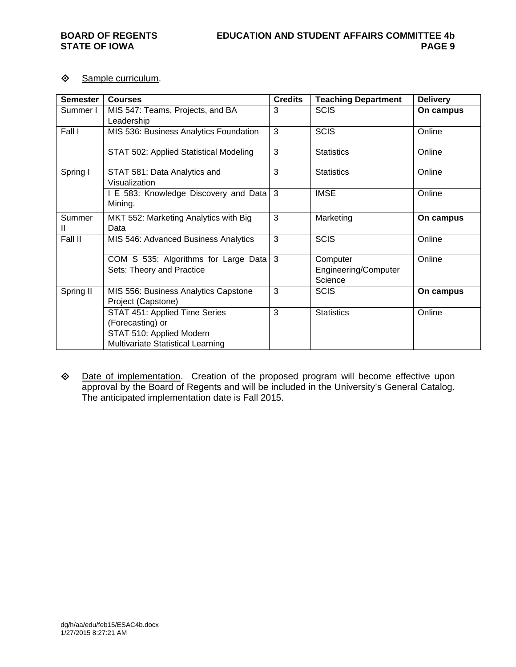# ♦ Sample curriculum.

| <b>Semester</b> | <b>Courses</b>                                                                                                            | <b>Credits</b> | <b>Teaching Department</b>                  | <b>Delivery</b> |
|-----------------|---------------------------------------------------------------------------------------------------------------------------|----------------|---------------------------------------------|-----------------|
| Summer I        | MIS 547: Teams, Projects, and BA                                                                                          | 3              | <b>SCIS</b>                                 | On campus       |
|                 | Leadership                                                                                                                |                |                                             |                 |
| Fall I          | MIS 536: Business Analytics Foundation                                                                                    | 3              | <b>SCIS</b>                                 | Online          |
|                 | STAT 502: Applied Statistical Modeling                                                                                    | 3              | <b>Statistics</b>                           | Online          |
| Spring I        | STAT 581: Data Analytics and<br>Visualization                                                                             | 3              | <b>Statistics</b>                           | Online          |
|                 | I E 583: Knowledge Discovery and Data 3<br>Mining.                                                                        |                | <b>IMSE</b>                                 | Online          |
| Summer<br>Ш     | MKT 552: Marketing Analytics with Big<br>Data                                                                             | 3              | Marketing                                   | On campus       |
| Fall II         | MIS 546: Advanced Business Analytics                                                                                      | 3              | <b>SCIS</b>                                 | Online          |
|                 | COM S 535: Algorithms for Large Data 3<br>Sets: Theory and Practice                                                       |                | Computer<br>Engineering/Computer<br>Science | Online          |
| Spring II       | MIS 556: Business Analytics Capstone<br>Project (Capstone)                                                                | 3              | <b>SCIS</b>                                 | On campus       |
|                 | STAT 451: Applied Time Series<br>(Forecasting) or<br>STAT 510: Applied Modern<br><b>Multivariate Statistical Learning</b> | 3              | <b>Statistics</b>                           | Online          |

 Date of implementation. Creation of the proposed program will become effective upon approval by the Board of Regents and will be included in the University's General Catalog. The anticipated implementation date is Fall 2015.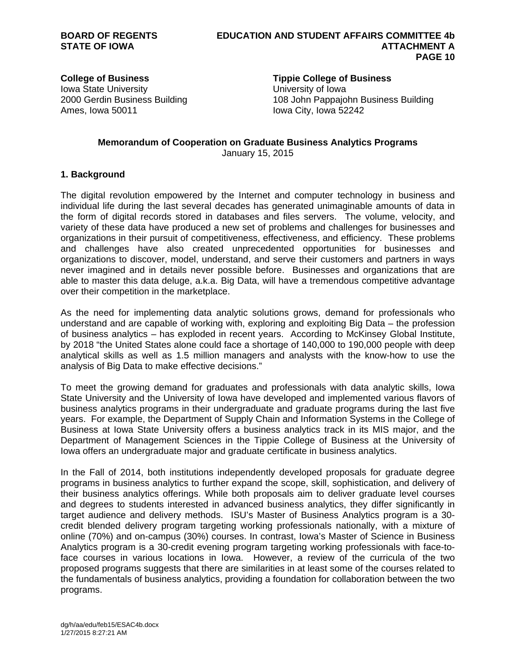Iowa State University University of Iowa Ames, Iowa 50011 Iowa City, Iowa 52242

**College of Business Tippie College of Business**

2000 Gerdin Business Building 108 John Pappajohn Business Building

## **Memorandum of Cooperation on Graduate Business Analytics Programs**  January 15, 2015

## **1. Background**

The digital revolution empowered by the Internet and computer technology in business and individual life during the last several decades has generated unimaginable amounts of data in the form of digital records stored in databases and files servers. The volume, velocity, and variety of these data have produced a new set of problems and challenges for businesses and organizations in their pursuit of competitiveness, effectiveness, and efficiency. These problems and challenges have also created unprecedented opportunities for businesses and organizations to discover, model, understand, and serve their customers and partners in ways never imagined and in details never possible before. Businesses and organizations that are able to master this data deluge, a.k.a. Big Data, will have a tremendous competitive advantage over their competition in the marketplace.

As the need for implementing data analytic solutions grows, demand for professionals who understand and are capable of working with, exploring and exploiting Big Data – the profession of business analytics – has exploded in recent years. According to McKinsey Global Institute, by 2018 "the United States alone could face a shortage of 140,000 to 190,000 people with deep analytical skills as well as 1.5 million managers and analysts with the know-how to use the analysis of Big Data to make effective decisions."

To meet the growing demand for graduates and professionals with data analytic skills, Iowa State University and the University of Iowa have developed and implemented various flavors of business analytics programs in their undergraduate and graduate programs during the last five years. For example, the Department of Supply Chain and Information Systems in the College of Business at Iowa State University offers a business analytics track in its MIS major, and the Department of Management Sciences in the Tippie College of Business at the University of Iowa offers an undergraduate major and graduate certificate in business analytics.

In the Fall of 2014, both institutions independently developed proposals for graduate degree programs in business analytics to further expand the scope, skill, sophistication, and delivery of their business analytics offerings. While both proposals aim to deliver graduate level courses and degrees to students interested in advanced business analytics, they differ significantly in target audience and delivery methods. ISU's Master of Business Analytics program is a 30 credit blended delivery program targeting working professionals nationally, with a mixture of online (70%) and on-campus (30%) courses. In contrast, Iowa's Master of Science in Business Analytics program is a 30-credit evening program targeting working professionals with face-toface courses in various locations in Iowa. However, a review of the curricula of the two proposed programs suggests that there are similarities in at least some of the courses related to the fundamentals of business analytics, providing a foundation for collaboration between the two programs.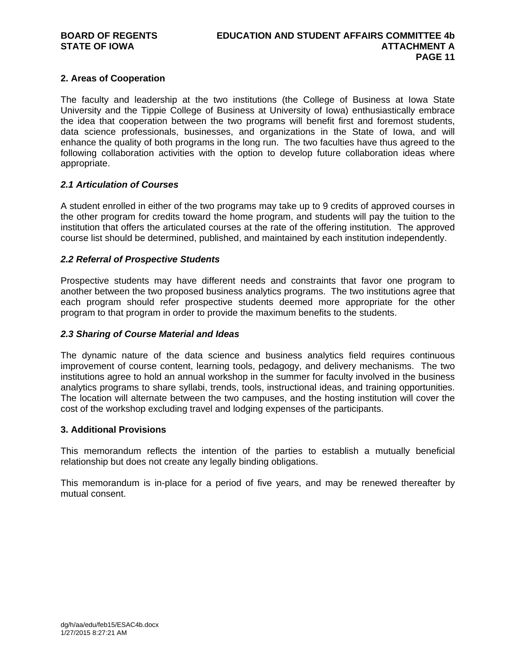## **2. Areas of Cooperation**

The faculty and leadership at the two institutions (the College of Business at Iowa State University and the Tippie College of Business at University of Iowa) enthusiastically embrace the idea that cooperation between the two programs will benefit first and foremost students, data science professionals, businesses, and organizations in the State of Iowa, and will enhance the quality of both programs in the long run. The two faculties have thus agreed to the following collaboration activities with the option to develop future collaboration ideas where appropriate.

## *2.1 Articulation of Courses*

A student enrolled in either of the two programs may take up to 9 credits of approved courses in the other program for credits toward the home program, and students will pay the tuition to the institution that offers the articulated courses at the rate of the offering institution. The approved course list should be determined, published, and maintained by each institution independently.

## *2.2 Referral of Prospective Students*

Prospective students may have different needs and constraints that favor one program to another between the two proposed business analytics programs. The two institutions agree that each program should refer prospective students deemed more appropriate for the other program to that program in order to provide the maximum benefits to the students.

## *2.3 Sharing of Course Material and Ideas*

The dynamic nature of the data science and business analytics field requires continuous improvement of course content, learning tools, pedagogy, and delivery mechanisms. The two institutions agree to hold an annual workshop in the summer for faculty involved in the business analytics programs to share syllabi, trends, tools, instructional ideas, and training opportunities. The location will alternate between the two campuses, and the hosting institution will cover the cost of the workshop excluding travel and lodging expenses of the participants.

## **3. Additional Provisions**

This memorandum reflects the intention of the parties to establish a mutually beneficial relationship but does not create any legally binding obligations.

This memorandum is in-place for a period of five years, and may be renewed thereafter by mutual consent.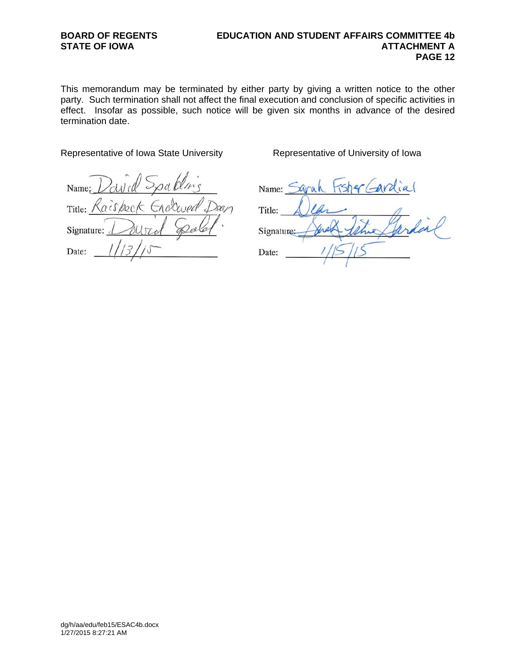## **BOARD OF REGENTS EDUCATION AND STUDENT AFFAIRS COMMITTEE 4b**  STATE OF IOWA **ATTACHMENT A**<br>PAGE 12  **PAGE 12**

This memorandum may be terminated by either party by giving a written notice to the other party. Such termination shall not affect the final execution and conclusion of specific activities in effect. Insofar as possible, such notice will be given six months in advance of the desired termination date.

## Representative of Iowa State University **Representative of University of Iowa**

Name: Enalwed Title: Raisbeck Dan Signature: Date:

| Hsher Gardial<br>Name:          |
|---------------------------------|
| Title:                          |
| $\mathbb{Z}_{46}$<br>Signature: |
| Date:                           |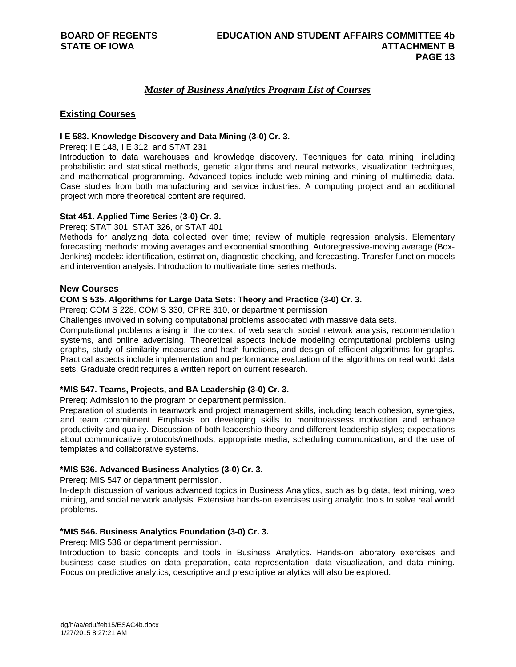## *Master of Business Analytics Program List of Courses*

## **Existing Courses**

## **I E 583. Knowledge Discovery and Data Mining (3-0) Cr. 3.**

Prereq: I E 148, I E 312, and STAT 231

Introduction to data warehouses and knowledge discovery. Techniques for data mining, including probabilistic and statistical methods, genetic algorithms and neural networks, visualization techniques, and mathematical programming. Advanced topics include web-mining and mining of multimedia data. Case studies from both manufacturing and service industries. A computing project and an additional project with more theoretical content are required.

## **Stat 451. Applied Time Series** (**3-0) Cr. 3.**

Prereq: STAT 301, STAT 326, or STAT 401

Methods for analyzing data collected over time; review of multiple regression analysis. Elementary forecasting methods: moving averages and exponential smoothing. Autoregressive-moving average (Box-Jenkins) models: identification, estimation, diagnostic checking, and forecasting. Transfer function models and intervention analysis. Introduction to multivariate time series methods.

## **New Courses**

## **COM S 535. Algorithms for Large Data Sets: Theory and Practice (3-0) Cr. 3.**

Prereq: COM S 228, COM S 330, CPRE 310, or department permission

Challenges involved in solving computational problems associated with massive data sets.

Computational problems arising in the context of web search, social network analysis, recommendation systems, and online advertising. Theoretical aspects include modeling computational problems using graphs, study of similarity measures and hash functions, and design of efficient algorithms for graphs. Practical aspects include implementation and performance evaluation of the algorithms on real world data sets. Graduate credit requires a written report on current research.

## **\*MIS 547. Teams, Projects, and BA Leadership (3-0) Cr. 3.**

Prereq: Admission to the program or department permission.

Preparation of students in teamwork and project management skills, including teach cohesion, synergies, and team commitment. Emphasis on developing skills to monitor/assess motivation and enhance productivity and quality. Discussion of both leadership theory and different leadership styles; expectations about communicative protocols/methods, appropriate media, scheduling communication, and the use of templates and collaborative systems.

## **\*MIS 536. Advanced Business Analytics (3-0) Cr. 3.**

Prereq: MIS 547 or department permission.

In-depth discussion of various advanced topics in Business Analytics, such as big data, text mining, web mining, and social network analysis. Extensive hands-on exercises using analytic tools to solve real world problems.

## **\*MIS 546. Business Analytics Foundation (3-0) Cr. 3.**

Prereq: MIS 536 or department permission.

Introduction to basic concepts and tools in Business Analytics. Hands-on laboratory exercises and business case studies on data preparation, data representation, data visualization, and data mining. Focus on predictive analytics; descriptive and prescriptive analytics will also be explored.